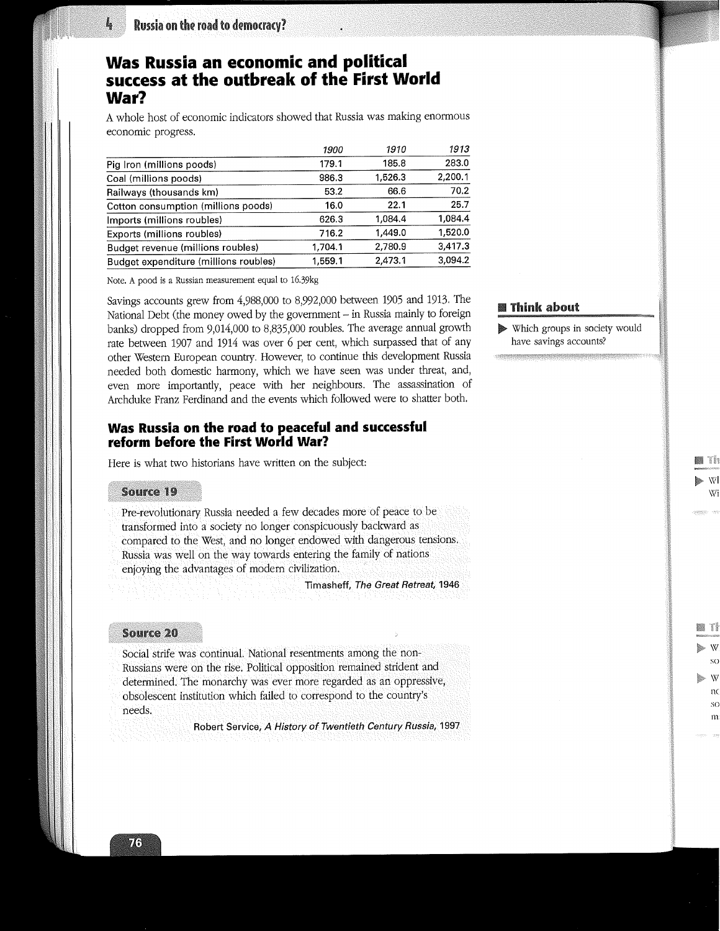# **Was Russia an economic and political success at the outbreak of the First World War?**

A whole host of economic indicators showed that Russia was making enormous economic progress.

|                                       | 1900    | 1910    | 1913    |
|---------------------------------------|---------|---------|---------|
| Pig Iron (millions poods)             | 179.1   | 185.8   | 283.0   |
| Coal (millions poods)                 | 986.3   | 1,526.3 | 2,200.1 |
| Railways (thousands km)               | 53.2    | 66.6    | 70.2    |
| Cotton consumption (millions poods)   | 16.0    | 22.1    | 25.7    |
| Imports (millions roubles)            | 626.3   | 1,084.4 | 1.084.4 |
| Exports (millions roubles)            | 716.2   | 1,449.0 | 1,520.0 |
| Budget revenue (millions roubles)     | 1,704.1 | 2,780.9 | 3,417.3 |
| Budget expenditure (millions roubles) | 1,559.1 | 2,473.1 | 3,094.2 |

Note. A pood is a Russian measurement equal to 16.39kg

Savings accounts grew from 4,988,000 to 8,992,000 between 1905 and 1913. The National Debt (the money owed by the government – in Russia mainly to foreign **Inlink about** banks) dropped from 9,014,000 to 8,835,000 roubles. The average annual growth rate between 1907 and 1914 was over 6 per cent, which surpassed that of any other Western European country. However, to continue this development Russia needed both domestic harmony, which we have seen was under threat, and, even more importantly, peace with her neighbours. The assassination of Archduke Franz Ferdinand and the events which followed were to shatter both.

## **Was Russia on the road to peaceful and successful reform before the First World War?**

Here is what two historians have written on the subject:

#### **Source 19**

Pre-revolutionary Russia needed a few decades more of peace to be transformed into a society no longer conspicuously backward as compared to the West, and no longer endowed with dangerous tensions. Russia was well on the way towards entering the family of nations enjoying the advantages of modern civilization.

Timasheff, The Great Retreat, 1946

#### **Source 20**

Social strife was continual. National resentments among the non-Russians were on the rise. Political opposition remained strident and determined. The monarchy was ever more regarded as an oppressive, obsolescent institution which failed to correspond to the country's needs:

Robert Service, A History of Twentieth Century Russia, 1997

Which groups in society would have savings accounts?

Wi

ei Th

so

T

so I11:

n

l,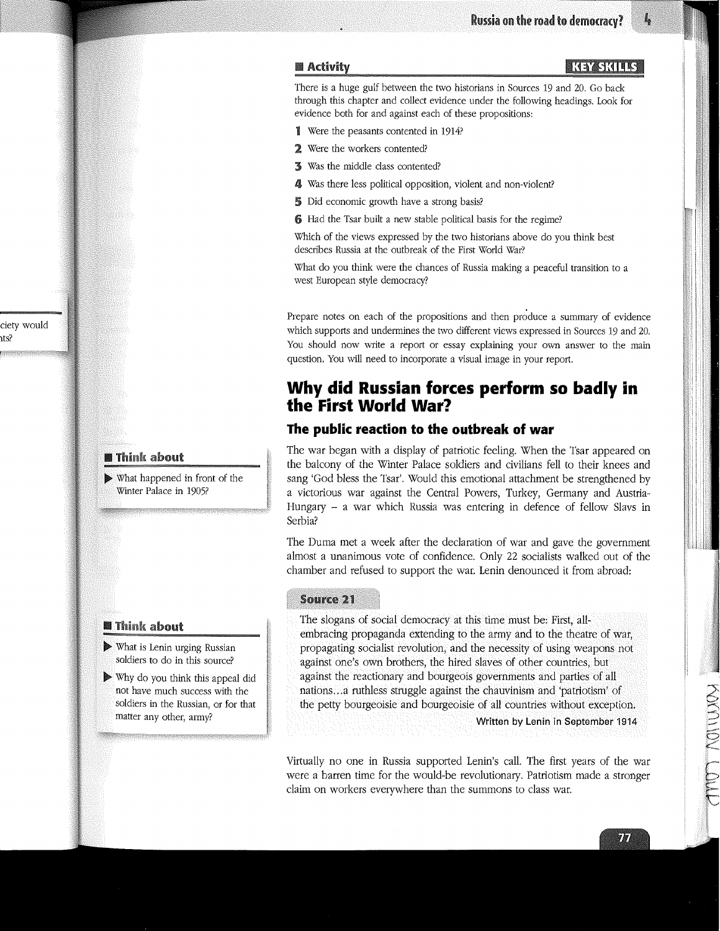KEY SKILLS

#### **Activity**

There is a huge gulf between the two historians in Sources 19 and 20. Go back through this chapter and collect evidence under the following headings. Look for evidence both for and against each of these propositions:

- ~l Were the peasants contented in 1914?
- 2 Were the workers contented?
- ~ Was the middle class contented?
- 4 Was there less political opposition, violent and non-violent?
- 5 Did economic growth have a strong basis?
- 6 Had the Tsar built a new stable political basis for the regime?

Which of the views expressed by the two historians above do you think best describes Russia at the outbreak of the First World War?

What do you think were the chances of Russia making a peaceful transition to a west European style democracy?

Prepare notes on each of the propositions and then produce a summary of evidence which supports and undermines the two different views expressed in Sources 19 and 20. You should now write a report or essay explaining your own answer to the main question. You will need to incorporate a visual image in your report.

# **Why did Russian forces perform so badly in the First World War?**

## **The public reaction to the outbreak of war**

The war began with a display of patriotic feeling. When the Tsar appeared on the balcony of the Winter Palace soldiers and civilians fell to their knees and sang 'God bless the Tsar'. Would this emotional attachment be strengthened by a victorious war against the Central Powers, Turkey, Germany and Austria-Hungary - a war which Russia was entering in defence of fellow Slavs in Serbia?

The Duma met a week after the declaration of war and gave the government almost a unanimous vote of confidence. Only 22 socialists walked out of the chamber and refused to support the war. Lenin denounced it from abroad:

### **Source 21**

The slogans of social democracy at this time must be: First, allembracing propaganda extending to the army and to the theatre of war, propagating socialist revolution, and the necessity of using weapons not against one's own brothers, the hired slaves of other countries, but against the reactionary and bourgeois governments and parties of all nations...a ruthless struggle against the chauvinism and 'patriotism' of the petty bourgeoisie and bourgeoisie Of all countries without exception.

Written by Lenin in September 1914

Virtually no one in Russia supported Lenin's call. The first years of the war were a barren time for the would-be revolutionary. Patriotism made a stronger claim on workers everywhere than the summons to class war.

## **Think about**

ciety would ~ts?

> $\triangleright$  What happened in front of the Winter Palace in 1905?

### **Think about**

 $\blacktriangleright$  What is Lenin urging Russian soldiers to do in this source?

 $\triangleright$  Why do you think this appeal did have much success with the soldiers in the Russian, or for that matter any other, army?

**POOLIDATE**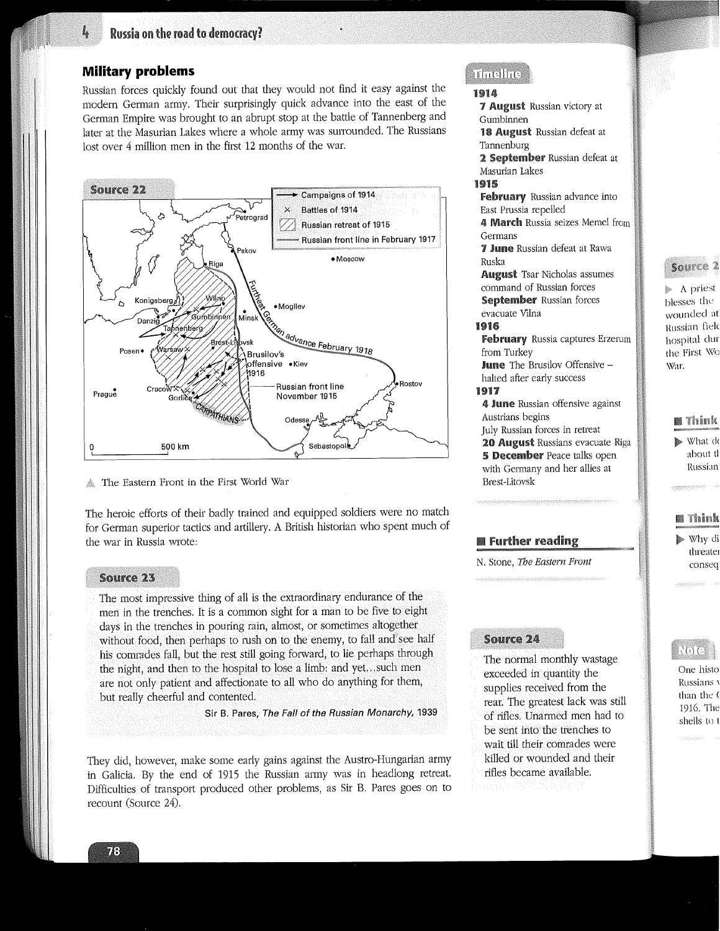## **Military problems**

Į,

Russian forces quickly found out that they would not find it easy against the modern German army. Their surprisingly quick advance into the east of the German Empire was brought to an abrupt stop at the battle of Tannenberg and later at the Masurian Lakes where a whole army was surrounded. The Russians lost over 4 million men in the first 12 months of the war.



The Eastern Front in the First World War

The heroic efforts of their badly trained and equipped soldiers were no match for German superior tactics and artillery. A British historian who spent much of the war in Russia wrote:

#### **Source 23**

The most impressive thing of all is the extraordinary endurance of the men in the trenches. It is a common sight for a man to be five to eight days in the trenches in pouring rain, almost, or sometimes altogether without food, then perhaps to rush on to the enemy, to fall and see half his comrades fall, but the rest still going forward, to lie perhaps through the night, and then to the hospital to lose a limb: and yet...such men are not only patient and affectionate to all who do anything for them, but really cheerful and contented.

**Sir** B. Pares, The Fall of the Russian Monarchy, 1939

They did. however, make some early gains against the Austro-Hungarian army in Galicia. By the end of 1915 the Russian army was in headlong retreat. Difficulties of transport produced other problems, as Sir B. Pares goes on to recount (Source 24).

## ulnellic

#### **1914**

7 August Russian victory at Gumbinnen 18 **August** Russian defeat at Tannenburg 2 September Russian defeat at Masurian Lakes 1915 February Russian advance into East Prussia repelled 4 March Russia seizes Memel from Germans 7 June Russian defeat at Rawa Ruska **August** Tsar Nicholas assumes command of Russian forces September Russian forces evacuate Vilna 1916 February Russia captures Erzerum

from Turkey June The Brusilov Offensive -

halted after early success 1917

4 June Russian offensive against Anstrians begins July Russian forces in retreat 20 August Russians evacuate Riga 5 December Peace talks open with Germany and her allies at Brest-Litovsk

## **Team** Further reading

N. Stone, The *Eastern Front*

## **Source 24**

The normal monthly wastage exceeded in quantity the supplies received from the rear. The greatest lack was still of rifles. Unarmed men had to be sent into the trenches to wait till their comrades were killed or wounded and their rifles became available.



},~ A priest blesses the wounded at Russian fielc hospital clur the First War.

## **n** Think What do about tt Russian

## **m** Think

Why di threater conseq

## $\sqrt{0}$

One histo Russians v than the 0 1916. The shells to